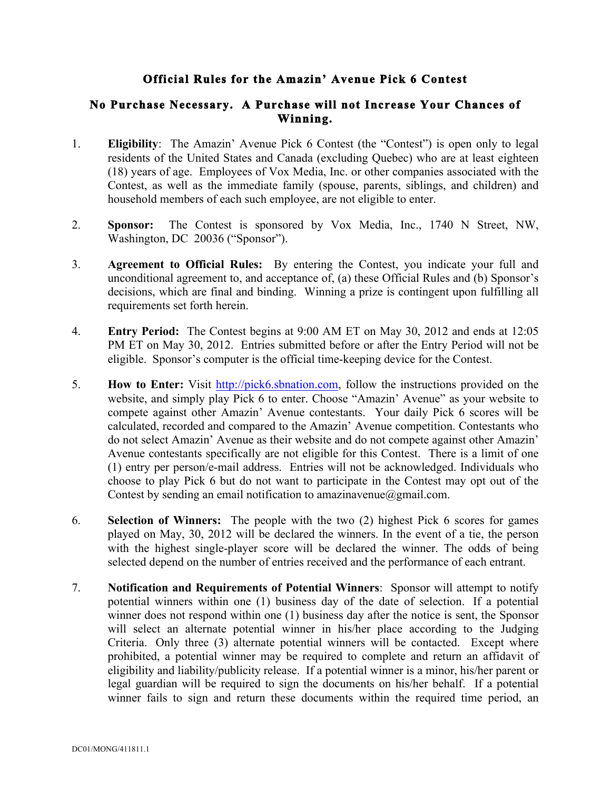## **Official Rules for the Amazin' Avenue Pick 6 Contest**

## **No Purchase Necessary. A Purchase will not Increase Your Chances of Winning.**

- 1. **Eligibility**: The Amazin' Avenue Pick 6 Contest (the "Contest") is open only to legal residents of the United States and Canada (excluding Quebec) who are at least eighteen (18) years of age. Employees of Vox Media, Inc. or other companies associated with the Contest, as well as the immediate family (spouse, parents, siblings, and children) and household members of each such employee, are not eligible to enter.
- 2. **Sponsor:** The Contest is sponsored by Vox Media, Inc., 1740 N Street, NW, Washington, DC 20036 ("Sponsor").
- 3. **Agreement to Official Rules:** By entering the Contest, you indicate your full and unconditional agreement to, and acceptance of, (a) these Official Rules and (b) Sponsor's decisions, which are final and binding. Winning a prize is contingent upon fulfilling all requirements set forth herein.
- 4. **Entry Period:** The Contest begins at 9:00 AM ET on May 30, 2012 and ends at 12:05 PM ET on May 30, 2012. Entries submitted before or after the Entry Period will not be eligible. Sponsor's computer is the official time-keeping device for the Contest.
- 5. **How to Enter:** Visit http://pick6.sbnation.com, follow the instructions provided on the website, and simply play Pick 6 to enter. Choose "Amazin' Avenue" as your website to compete against other Amazin' Avenue contestants. Your daily Pick 6 scores will be calculated, recorded and compared to the Amazin' Avenue competition. Contestants who do not select Amazin' Avenue as their website and do not compete against other Amazin' Avenue contestants specifically are not eligible for this Contest. There is a limit of one (1) entry per person/e-mail address. Entries will not be acknowledged. Individuals who choose to play Pick 6 but do not want to participate in the Contest may opt out of the Contest by sending an email notification to amazinavenue@gmail.com.
- 6. **Selection of Winners:** The people with the two (2) highest Pick 6 scores for games played on May, 30, 2012 will be declared the winners. In the event of a tie, the person with the highest single-player score will be declared the winner. The odds of being selected depend on the number of entries received and the performance of each entrant.
- 7. **Notification and Requirements of Potential Winners**: Sponsor will attempt to notify potential winners within one (1) business day of the date of selection. If a potential winner does not respond within one (1) business day after the notice is sent, the Sponsor will select an alternate potential winner in his/her place according to the Judging Criteria. Only three (3) alternate potential winners will be contacted. Except where prohibited, a potential winner may be required to complete and return an affidavit of eligibility and liability/publicity release. If a potential winner is a minor, his/her parent or legal guardian will be required to sign the documents on his/her behalf. If a potential winner fails to sign and return these documents within the required time period, an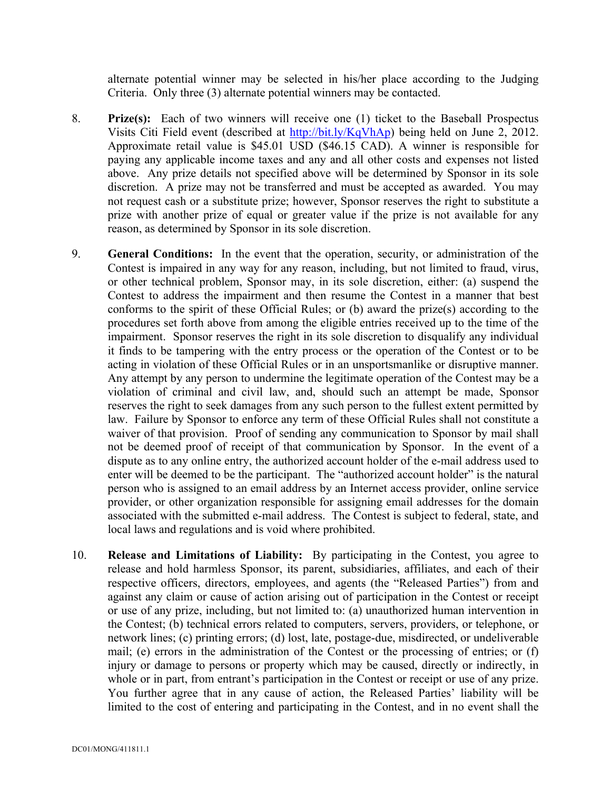alternate potential winner may be selected in his/her place according to the Judging Criteria. Only three (3) alternate potential winners may be contacted.

- 8. **Prize(s):** Each of two winners will receive one (1) ticket to the Baseball Prospectus Visits Citi Field event (described at http://bit.ly/KqVhAp) being held on June 2, 2012. Approximate retail value is \$45.01 USD (\$46.15 CAD). A winner is responsible for paying any applicable income taxes and any and all other costs and expenses not listed above. Any prize details not specified above will be determined by Sponsor in its sole discretion. A prize may not be transferred and must be accepted as awarded. You may not request cash or a substitute prize; however, Sponsor reserves the right to substitute a prize with another prize of equal or greater value if the prize is not available for any reason, as determined by Sponsor in its sole discretion.
- 9. **General Conditions:** In the event that the operation, security, or administration of the Contest is impaired in any way for any reason, including, but not limited to fraud, virus, or other technical problem, Sponsor may, in its sole discretion, either: (a) suspend the Contest to address the impairment and then resume the Contest in a manner that best conforms to the spirit of these Official Rules; or (b) award the prize(s) according to the procedures set forth above from among the eligible entries received up to the time of the impairment. Sponsor reserves the right in its sole discretion to disqualify any individual it finds to be tampering with the entry process or the operation of the Contest or to be acting in violation of these Official Rules or in an unsportsmanlike or disruptive manner. Any attempt by any person to undermine the legitimate operation of the Contest may be a violation of criminal and civil law, and, should such an attempt be made, Sponsor reserves the right to seek damages from any such person to the fullest extent permitted by law. Failure by Sponsor to enforce any term of these Official Rules shall not constitute a waiver of that provision. Proof of sending any communication to Sponsor by mail shall not be deemed proof of receipt of that communication by Sponsor. In the event of a dispute as to any online entry, the authorized account holder of the e-mail address used to enter will be deemed to be the participant. The "authorized account holder" is the natural person who is assigned to an email address by an Internet access provider, online service provider, or other organization responsible for assigning email addresses for the domain associated with the submitted e-mail address. The Contest is subject to federal, state, and local laws and regulations and is void where prohibited.
- 10. **Release and Limitations of Liability:** By participating in the Contest, you agree to release and hold harmless Sponsor, its parent, subsidiaries, affiliates, and each of their respective officers, directors, employees, and agents (the "Released Parties") from and against any claim or cause of action arising out of participation in the Contest or receipt or use of any prize, including, but not limited to: (a) unauthorized human intervention in the Contest; (b) technical errors related to computers, servers, providers, or telephone, or network lines; (c) printing errors; (d) lost, late, postage-due, misdirected, or undeliverable mail; (e) errors in the administration of the Contest or the processing of entries; or (f) injury or damage to persons or property which may be caused, directly or indirectly, in whole or in part, from entrant's participation in the Contest or receipt or use of any prize. You further agree that in any cause of action, the Released Parties' liability will be limited to the cost of entering and participating in the Contest, and in no event shall the